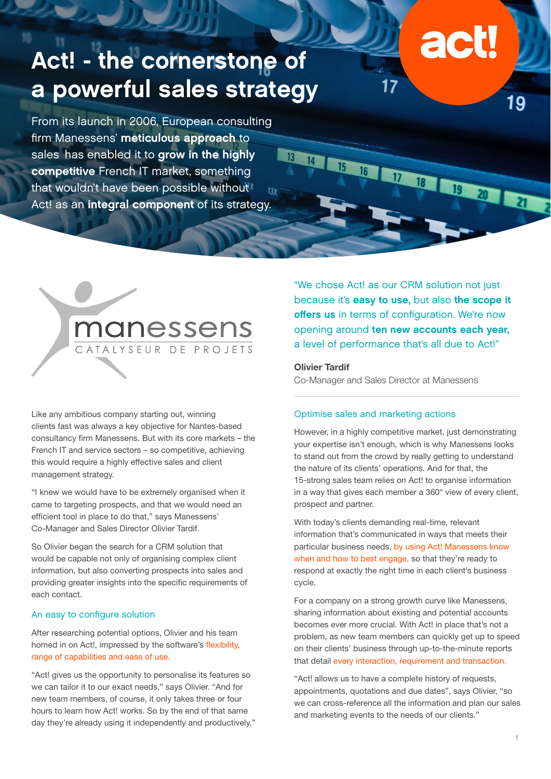# Act! - the cornerstone of a powerful sales strategy

From its launch in 2006, European consulting firm Manessens' meticulous approach to sales has enabled it to grow in the highly competitive French IT market, something that wouldn't have been possible without<sup>y</sup> Act! as an integral component of its strategy.



Like any ambitious company starting out, winning clients fast was always a key objective for Nantes-based consultancy firm Manessens. But with its core markets – the French IT and service sectors – so competitive, achieving this would require a highly effective sales and client management strategy.

"I knew we would have to be extremely organised when it came to targeting prospects, and that we would need an efficient tool in place to do that," says Manessens' Co-Manager and Sales Director Olivier Tardif.

So Olivier began the search for a CRM solution that would be capable not only of organising complex client information, but also converting prospects into sales and providing greater insights into the specific requirements of each contact.

### An easy to configure solution

After researching potential options, Olivier and his team homed in on Act!, impressed by the software's flexibility, range of capabilities and ease of use.

"Act! gives us the opportunity to personalise its features so we can tailor it to our exact needs," says Olivier. "And for new team members, of course, it only takes three or four hours to learn how Act! works. So by the end of that same day they're already using it independently and productively."

"We chose Act! as our CRM solution not just because it's easy to use, but also the scope it offers us in terms of configuration. We're now opening around ten new accounts each year, a level of performance that's all due to Act!"

#### **Olivier Tardif**

Co-Manager and Sales Director at Manessens

## Optimise sales and marketing actions

However, in a highly competitive market, just demonstrating your expertise isn't enough, which is why Manessens looks to stand out from the crowd by really getting to understand the nature of its clients' operations. And for that, the 15-strong sales team relies on Act! to organise information in a way that gives each member a 360° view of every client, prospect and partner.

With today's clients demanding real-time, relevant information that's communicated in ways that meets their particular business needs, by using Act! Manessens know when and how to best engage, so that they're ready to respond at exactly the right time in each client's business cycle.

For a company on a strong growth curve like Manessens, sharing information about existing and potential accounts becomes ever more crucial. With Act! in place that's not a problem, as new team members can quickly get up to speed on their clients' business through up-to-the-minute reports that detail every interaction, requirement and transaction.

"Act! allows us to have a complete history of requests, appointments, quotations and due dates", says Olivier, "so we can cross-reference all the information and plan our sales and marketing events to the needs of our clients."

19